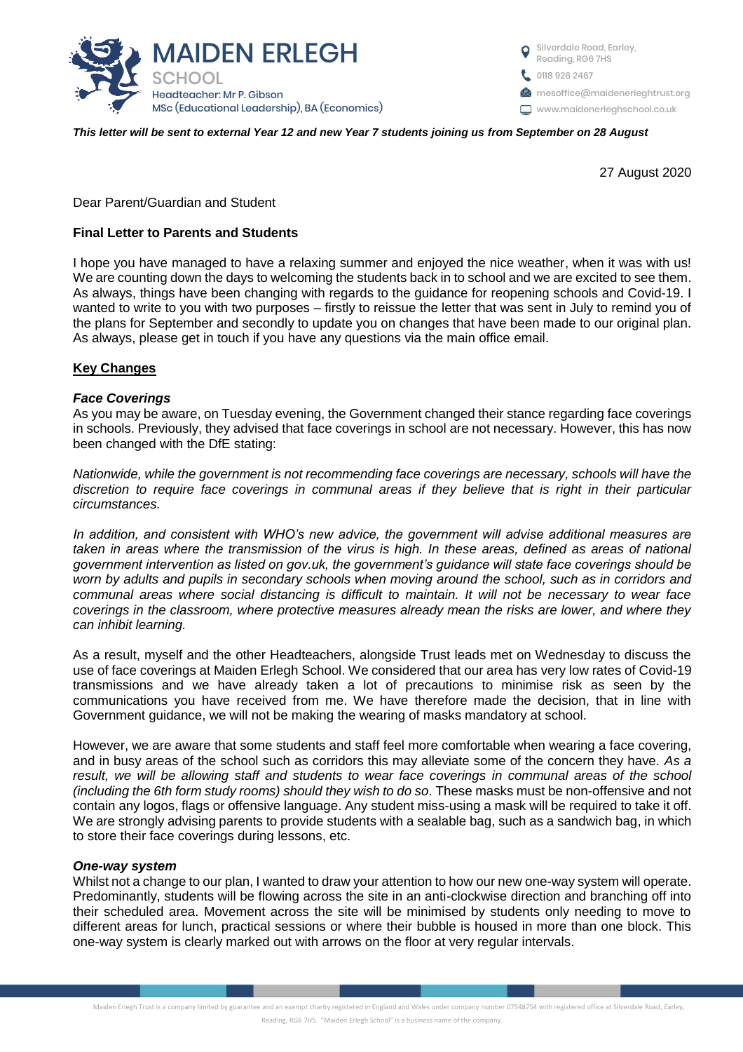

Silverdale Road, Earley, Reading, RG6 7HS **t** 0118 926 2467 **Manufator mesoffice@maidenerleghtrust.org** www.maidenerleghschool.co.uk

#### *This letter will be sent to external Year 12 and new Year 7 students joining us from September on 28 August*

27 August 2020

Dear Parent/Guardian and Student

## **Final Letter to Parents and Students**

I hope you have managed to have a relaxing summer and enjoyed the nice weather, when it was with us! We are counting down the days to welcoming the students back in to school and we are excited to see them. As always, things have been changing with regards to the guidance for reopening schools and Covid-19. I wanted to write to you with two purposes – firstly to reissue the letter that was sent in July to remind you of the plans for September and secondly to update you on changes that have been made to our original plan. As always, please get in touch if you have any questions via the main office email.

#### **Key Changes**

#### *Face Coverings*

As you may be aware, on Tuesday evening, the Government changed their stance regarding face coverings in schools. Previously, they advised that face coverings in school are not necessary. However, this has now been changed with the DfE stating:

*Nationwide, while the government is not recommending face coverings are necessary, schools will have the discretion to require face coverings in communal areas if they believe that is right in their particular circumstances.*

*In addition, and consistent with WHO's new advice, the government will advise additional measures are taken in areas where the transmission of the virus is high. In these areas, defined as areas of national government intervention as listed on gov.uk, the government's guidance will state face coverings should be worn by adults and pupils in secondary schools when moving around the school, such as in corridors and communal areas where social distancing is difficult to maintain. It will not be necessary to wear face coverings in the classroom, where protective measures already mean the risks are lower, and where they can inhibit learning.*

As a result, myself and the other Headteachers, alongside Trust leads met on Wednesday to discuss the use of face coverings at Maiden Erlegh School. We considered that our area has very low rates of Covid-19 transmissions and we have already taken a lot of precautions to minimise risk as seen by the communications you have received from me. We have therefore made the decision, that in line with Government guidance, we will not be making the wearing of masks mandatory at school.

However, we are aware that some students and staff feel more comfortable when wearing a face covering, and in busy areas of the school such as corridors this may alleviate some of the concern they have. *As a*  result, we will be allowing staff and students to wear face coverings in communal areas of the school *(including the 6th form study rooms) should they wish to do so*. These masks must be non-offensive and not contain any logos, flags or offensive language. Any student miss-using a mask will be required to take it off. We are strongly advising parents to provide students with a sealable bag, such as a sandwich bag, in which to store their face coverings during lessons, etc.

#### *One-way system*

Whilst not a change to our plan, I wanted to draw your attention to how our new one-way system will operate. Predominantly, students will be flowing across the site in an anti-clockwise direction and branching off into their scheduled area. Movement across the site will be minimised by students only needing to move to different areas for lunch, practical sessions or where their bubble is housed in more than one block. This one-way system is clearly marked out with arrows on the floor at very regular intervals.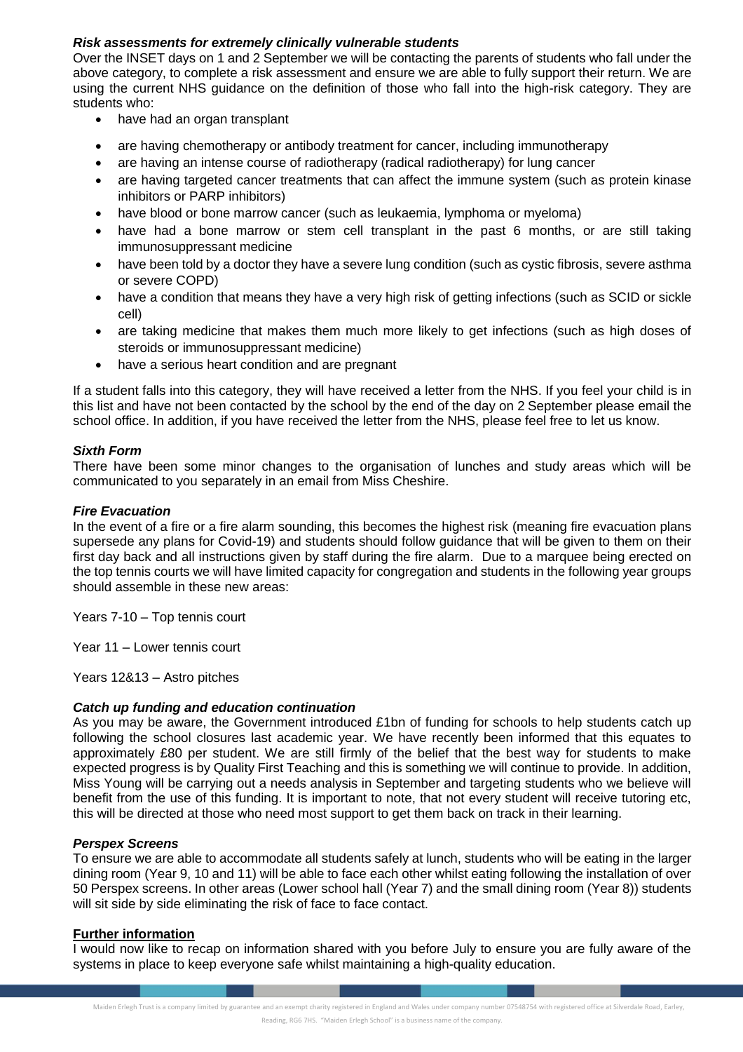# *Risk assessments for extremely clinically vulnerable students*

Over the INSET days on 1 and 2 September we will be contacting the parents of students who fall under the above category, to complete a risk assessment and ensure we are able to fully support their return. We are using the current NHS guidance on the definition of those who fall into the high-risk category. They are students who:

- have had an organ transplant
- are having chemotherapy or antibody treatment for cancer, including immunotherapy
- are having an intense course of radiotherapy (radical radiotherapy) for lung cancer
- are having targeted cancer treatments that can affect the immune system (such as protein kinase inhibitors or PARP inhibitors)
- have blood or bone marrow cancer (such as leukaemia, lymphoma or myeloma)
- have had a bone marrow or stem cell transplant in the past 6 months, or are still taking immunosuppressant medicine
- have been told by a doctor they have a severe lung condition (such as cystic fibrosis, severe asthma or severe COPD)
- have a condition that means they have a very high risk of getting infections (such as SCID or sickle cell)
- are taking medicine that makes them much more likely to get infections (such as high doses of steroids or immunosuppressant medicine)
- have a serious heart condition and are pregnant

If a student falls into this category, they will have received a letter from the NHS. If you feel your child is in this list and have not been contacted by the school by the end of the day on 2 September please email the school office. In addition, if you have received the letter from the NHS, please feel free to let us know.

# *Sixth Form*

There have been some minor changes to the organisation of lunches and study areas which will be communicated to you separately in an email from Miss Cheshire.

## *Fire Evacuation*

In the event of a fire or a fire alarm sounding, this becomes the highest risk (meaning fire evacuation plans supersede any plans for Covid-19) and students should follow guidance that will be given to them on their first day back and all instructions given by staff during the fire alarm. Due to a marquee being erected on the top tennis courts we will have limited capacity for congregation and students in the following year groups should assemble in these new areas:

Years 7-10 – Top tennis court

Year 11 – Lower tennis court

Years 12&13 – Astro pitches

## *Catch up funding and education continuation*

As you may be aware, the Government introduced £1bn of funding for schools to help students catch up following the school closures last academic year. We have recently been informed that this equates to approximately £80 per student. We are still firmly of the belief that the best way for students to make expected progress is by Quality First Teaching and this is something we will continue to provide. In addition, Miss Young will be carrying out a needs analysis in September and targeting students who we believe will benefit from the use of this funding. It is important to note, that not every student will receive tutoring etc, this will be directed at those who need most support to get them back on track in their learning.

## *Perspex Screens*

To ensure we are able to accommodate all students safely at lunch, students who will be eating in the larger dining room (Year 9, 10 and 11) will be able to face each other whilst eating following the installation of over 50 Perspex screens. In other areas (Lower school hall (Year 7) and the small dining room (Year 8)) students will sit side by side eliminating the risk of face to face contact.

## **Further information**

I would now like to recap on information shared with you before July to ensure you are fully aware of the systems in place to keep everyone safe whilst maintaining a high-quality education.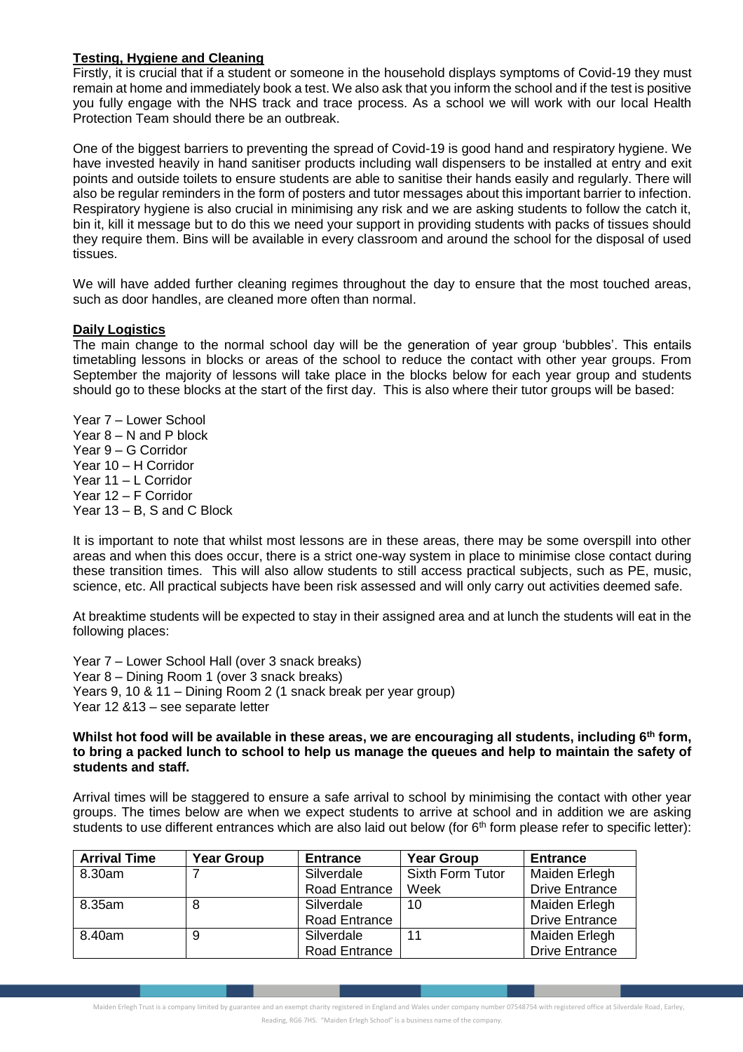# **Testing, Hygiene and Cleaning**

Firstly, it is crucial that if a student or someone in the household displays symptoms of Covid-19 they must remain at home and immediately book a test. We also ask that you inform the school and if the test is positive you fully engage with the NHS track and trace process. As a school we will work with our local Health Protection Team should there be an outbreak.

One of the biggest barriers to preventing the spread of Covid-19 is good hand and respiratory hygiene. We have invested heavily in hand sanitiser products including wall dispensers to be installed at entry and exit points and outside toilets to ensure students are able to sanitise their hands easily and regularly. There will also be regular reminders in the form of posters and tutor messages about this important barrier to infection. Respiratory hygiene is also crucial in minimising any risk and we are asking students to follow the catch it, bin it, kill it message but to do this we need your support in providing students with packs of tissues should they require them. Bins will be available in every classroom and around the school for the disposal of used tissues.

We will have added further cleaning regimes throughout the day to ensure that the most touched areas, such as door handles, are cleaned more often than normal.

#### **Daily Logistics**

The main change to the normal school day will be the generation of year group 'bubbles'. This entails timetabling lessons in blocks or areas of the school to reduce the contact with other year groups. From September the majority of lessons will take place in the blocks below for each year group and students should go to these blocks at the start of the first day. This is also where their tutor groups will be based:

Year 7 – Lower School Year 8 – N and P block Year 9 – G Corridor Year 10 – H Corridor Year 11 – L Corridor Year 12 – F Corridor Year 13 – B, S and C Block

It is important to note that whilst most lessons are in these areas, there may be some overspill into other areas and when this does occur, there is a strict one-way system in place to minimise close contact during these transition times. This will also allow students to still access practical subjects, such as PE, music, science, etc. All practical subjects have been risk assessed and will only carry out activities deemed safe.

At breaktime students will be expected to stay in their assigned area and at lunch the students will eat in the following places:

Year 7 – Lower School Hall (over 3 snack breaks) Year 8 – Dining Room 1 (over 3 snack breaks) Years 9, 10 & 11 – Dining Room 2 (1 snack break per year group) Year 12 &13 – see separate letter

**Whilst hot food will be available in these areas, we are encouraging all students, including 6th form, to bring a packed lunch to school to help us manage the queues and help to maintain the safety of students and staff.** 

Arrival times will be staggered to ensure a safe arrival to school by minimising the contact with other year groups. The times below are when we expect students to arrive at school and in addition we are asking students to use different entrances which are also laid out below (for  $6<sup>th</sup>$  form please refer to specific letter):

| <b>Arrival Time</b> | <b>Year Group</b> | <b>Entrance</b> | <b>Year Group</b> | <b>Entrance</b>       |
|---------------------|-------------------|-----------------|-------------------|-----------------------|
| 8.30am              |                   | Silverdale      | Sixth Form Tutor  | Maiden Erlegh         |
|                     |                   | Road Entrance   | Week              | <b>Drive Entrance</b> |
| 8.35am              | 8                 | Silverdale      | 10                | Maiden Erlegh         |
|                     |                   | Road Entrance   |                   | <b>Drive Entrance</b> |
| 8.40am              | 9                 | Silverdale      | 11                | Maiden Erlegh         |
|                     |                   | Road Entrance   |                   | <b>Drive Entrance</b> |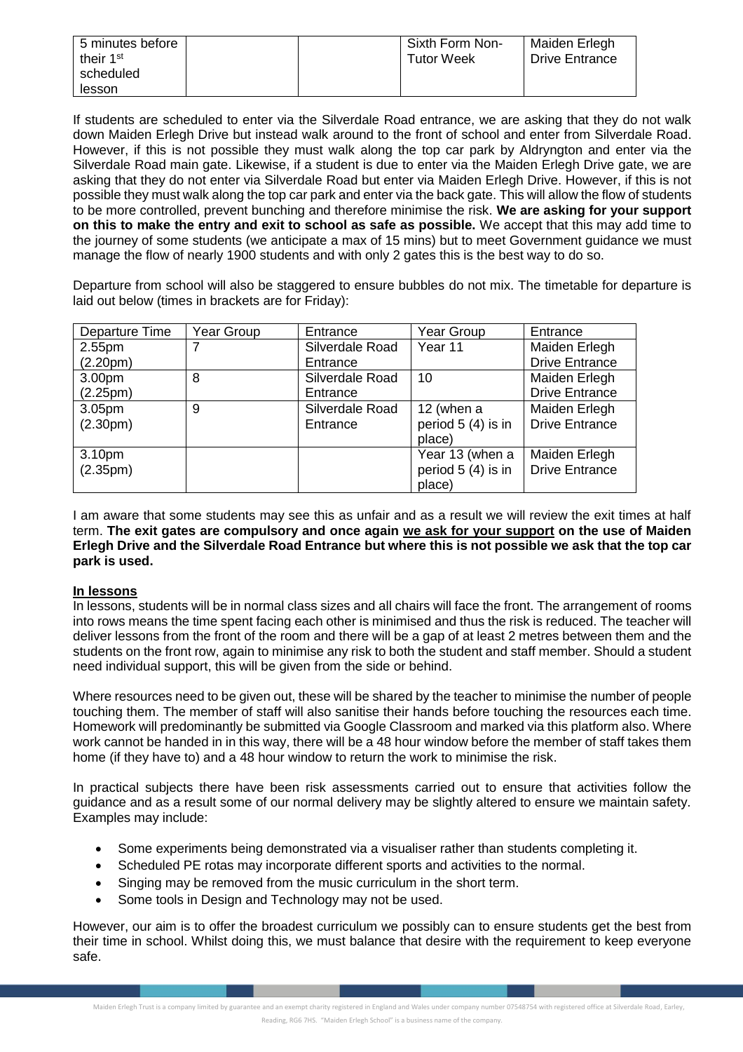| 5 minutes before<br>their 1 <sup>st</sup> |  | Sixth Form Non-<br><b>Tutor Week</b> | Maiden Erlegh<br>Drive Entrance |
|-------------------------------------------|--|--------------------------------------|---------------------------------|
| scheduled                                 |  |                                      |                                 |
| lesson                                    |  |                                      |                                 |

If students are scheduled to enter via the Silverdale Road entrance, we are asking that they do not walk down Maiden Erlegh Drive but instead walk around to the front of school and enter from Silverdale Road. However, if this is not possible they must walk along the top car park by Aldryngton and enter via the Silverdale Road main gate. Likewise, if a student is due to enter via the Maiden Erlegh Drive gate, we are asking that they do not enter via Silverdale Road but enter via Maiden Erlegh Drive. However, if this is not possible they must walk along the top car park and enter via the back gate. This will allow the flow of students to be more controlled, prevent bunching and therefore minimise the risk. **We are asking for your support on this to make the entry and exit to school as safe as possible.** We accept that this may add time to the journey of some students (we anticipate a max of 15 mins) but to meet Government guidance we must manage the flow of nearly 1900 students and with only 2 gates this is the best way to do so.

Departure from school will also be staggered to ensure bubbles do not mix. The timetable for departure is laid out below (times in brackets are for Friday):

| Departure Time        | Year Group | Entrance        | Year Group         | Entrance              |
|-----------------------|------------|-----------------|--------------------|-----------------------|
| 2.55pm                | 7          | Silverdale Road | Year 11            | Maiden Erlegh         |
| (2.20 <sub>pm</sub> ) |            | Entrance        |                    | <b>Drive Entrance</b> |
| 3.00 <sub>pm</sub>    | 8          | Silverdale Road | 10                 | Maiden Erlegh         |
| (2.25 <sub>pm</sub> ) |            | Entrance        |                    | <b>Drive Entrance</b> |
| 3.05pm                | 9          | Silverdale Road | 12 (when a         | Maiden Erlegh         |
| (2.30 <sub>pm</sub> ) |            | Entrance        | period 5 (4) is in | <b>Drive Entrance</b> |
|                       |            |                 | place)             |                       |
| 3.10pm                |            |                 | Year 13 (when a    | Maiden Erlegh         |
| (2.35 <sub>pm</sub> ) |            |                 | period 5 (4) is in | <b>Drive Entrance</b> |
|                       |            |                 | place)             |                       |

I am aware that some students may see this as unfair and as a result we will review the exit times at half term. **The exit gates are compulsory and once again we ask for your support on the use of Maiden Erlegh Drive and the Silverdale Road Entrance but where this is not possible we ask that the top car park is used.**

## **In lessons**

In lessons, students will be in normal class sizes and all chairs will face the front. The arrangement of rooms into rows means the time spent facing each other is minimised and thus the risk is reduced. The teacher will deliver lessons from the front of the room and there will be a gap of at least 2 metres between them and the students on the front row, again to minimise any risk to both the student and staff member. Should a student need individual support, this will be given from the side or behind.

Where resources need to be given out, these will be shared by the teacher to minimise the number of people touching them. The member of staff will also sanitise their hands before touching the resources each time. Homework will predominantly be submitted via Google Classroom and marked via this platform also. Where work cannot be handed in in this way, there will be a 48 hour window before the member of staff takes them home (if they have to) and a 48 hour window to return the work to minimise the risk.

In practical subjects there have been risk assessments carried out to ensure that activities follow the guidance and as a result some of our normal delivery may be slightly altered to ensure we maintain safety. Examples may include:

- Some experiments being demonstrated via a visualiser rather than students completing it.
- Scheduled PE rotas may incorporate different sports and activities to the normal.
- Singing may be removed from the music curriculum in the short term.
- Some tools in Design and Technology may not be used.

However, our aim is to offer the broadest curriculum we possibly can to ensure students get the best from their time in school. Whilst doing this, we must balance that desire with the requirement to keep everyone safe.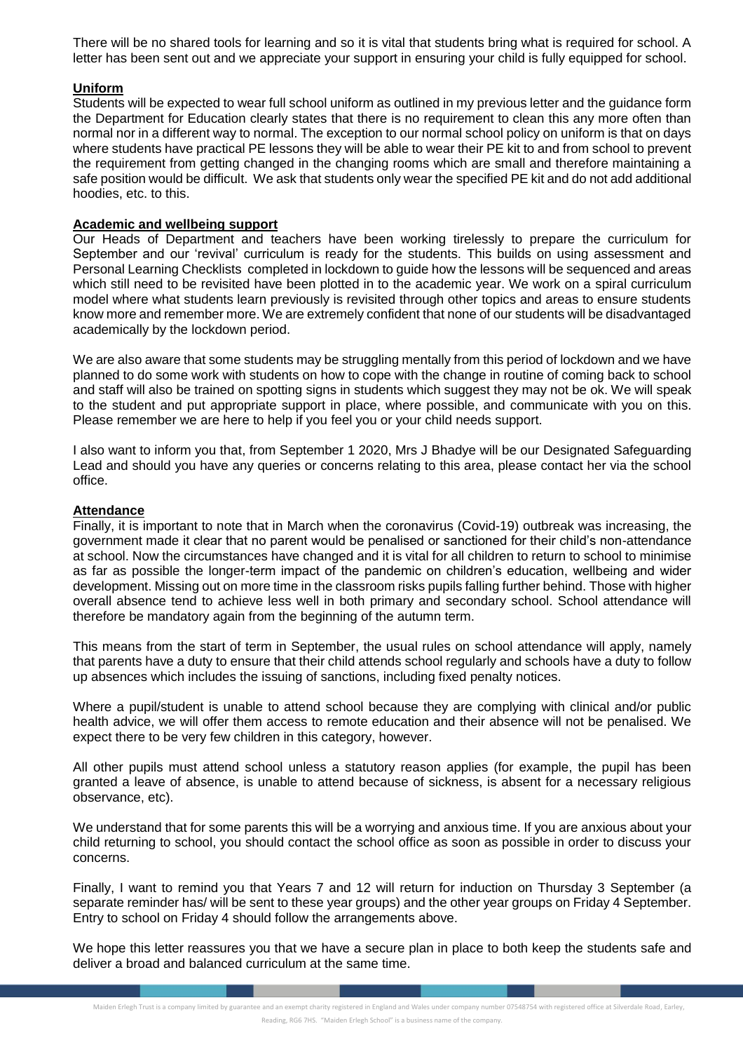There will be no shared tools for learning and so it is vital that students bring what is required for school. A letter has been sent out and we appreciate your support in ensuring your child is fully equipped for school.

## **Uniform**

Students will be expected to wear full school uniform as outlined in my previous letter and the guidance form the Department for Education clearly states that there is no requirement to clean this any more often than normal nor in a different way to normal. The exception to our normal school policy on uniform is that on days where students have practical PE lessons they will be able to wear their PE kit to and from school to prevent the requirement from getting changed in the changing rooms which are small and therefore maintaining a safe position would be difficult. We ask that students only wear the specified PE kit and do not add additional hoodies, etc. to this.

## **Academic and wellbeing support**

Our Heads of Department and teachers have been working tirelessly to prepare the curriculum for September and our 'revival' curriculum is ready for the students. This builds on using assessment and Personal Learning Checklists completed in lockdown to guide how the lessons will be sequenced and areas which still need to be revisited have been plotted in to the academic year. We work on a spiral curriculum model where what students learn previously is revisited through other topics and areas to ensure students know more and remember more. We are extremely confident that none of our students will be disadvantaged academically by the lockdown period.

We are also aware that some students may be struggling mentally from this period of lockdown and we have planned to do some work with students on how to cope with the change in routine of coming back to school and staff will also be trained on spotting signs in students which suggest they may not be ok. We will speak to the student and put appropriate support in place, where possible, and communicate with you on this. Please remember we are here to help if you feel you or your child needs support.

I also want to inform you that, from September 1 2020, Mrs J Bhadye will be our Designated Safeguarding Lead and should you have any queries or concerns relating to this area, please contact her via the school office.

#### **Attendance**

Finally, it is important to note that in March when the coronavirus (Covid-19) outbreak was increasing, the government made it clear that no parent would be penalised or sanctioned for their child's non-attendance at school. Now the circumstances have changed and it is vital for all children to return to school to minimise as far as possible the longer-term impact of the pandemic on children's education, wellbeing and wider development. Missing out on more time in the classroom risks pupils falling further behind. Those with higher overall absence tend to achieve less well in both primary and secondary school. School attendance will therefore be mandatory again from the beginning of the autumn term.

This means from the start of term in September, the usual rules on school attendance will apply, namely that parents have a duty to ensure that their child attends school regularly and schools have a duty to follow up absences which includes the issuing of sanctions, including fixed penalty notices.

Where a pupil/student is unable to attend school because they are complying with clinical and/or public health advice, we will offer them access to remote education and their absence will not be penalised. We expect there to be very few children in this category, however.

All other pupils must attend school unless a statutory reason applies (for example, the pupil has been granted a leave of absence, is unable to attend because of sickness, is absent for a necessary religious observance, etc).

We understand that for some parents this will be a worrying and anxious time. If you are anxious about your child returning to school, you should contact the school office as soon as possible in order to discuss your concerns.

Finally, I want to remind you that Years 7 and 12 will return for induction on Thursday 3 September (a separate reminder has/ will be sent to these year groups) and the other year groups on Friday 4 September. Entry to school on Friday 4 should follow the arrangements above.

We hope this letter reassures you that we have a secure plan in place to both keep the students safe and deliver a broad and balanced curriculum at the same time.